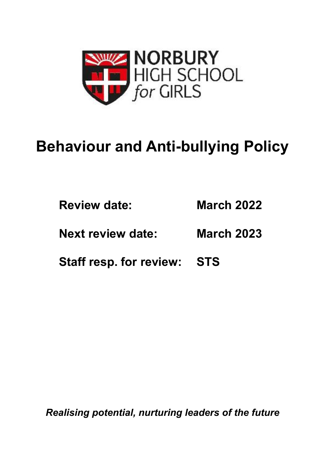

# **Behaviour and Anti-bullying Policy**

| <b>Review date:</b>      | <b>March 2022</b> |
|--------------------------|-------------------|
| <b>Next review date:</b> | <b>March 2023</b> |

**Staff resp. for review: STS** 

*Realising potential, nurturing leaders of the future*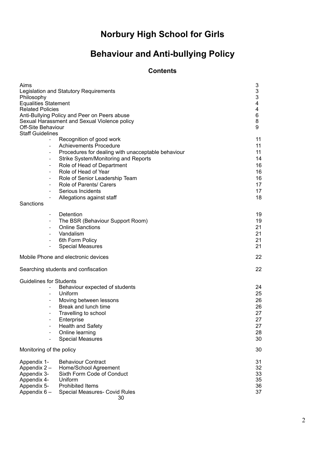## **Norbury High School for Girls**

### **Behaviour and Anti-bullying Policy**

#### **Contents**

| Aims<br>Philosophy<br><b>Equalities Statement</b><br><b>Related Policies</b><br><b>Off-Site Behaviour</b><br><b>Staff Guidelines</b>                                                                                         | Legislation and Statutory Requirements<br>Anti-Bullying Policy and Peer on Peers abuse<br>Sexual Harassment and Sexual Violence policy                                                                                                                                                          | 3<br>3<br>3<br>4<br>4<br>6<br>8<br>9                     |
|------------------------------------------------------------------------------------------------------------------------------------------------------------------------------------------------------------------------------|-------------------------------------------------------------------------------------------------------------------------------------------------------------------------------------------------------------------------------------------------------------------------------------------------|----------------------------------------------------------|
| $\overline{\phantom{a}}$<br>$\overline{\phantom{a}}$<br>$\overline{\phantom{a}}$<br>$\overline{\phantom{a}}$<br>$\overline{\phantom{a}}$<br>$\overline{\phantom{a}}$<br>$\overline{\phantom{a}}$<br>$\overline{\phantom{a}}$ | Recognition of good work<br><b>Achievements Procedure</b><br>Procedures for dealing with unacceptable behaviour<br>Strike System/Monitoring and Reports<br>Role of Head of Department<br>Role of Head of Year<br>Role of Senior Leadership Team<br>Role of Parents/ Carers<br>Serious Incidents | 11<br>11<br>11<br>14<br>16<br>16<br>16<br>17<br>17<br>18 |
| Sanctions                                                                                                                                                                                                                    | Allegations against staff                                                                                                                                                                                                                                                                       |                                                          |
| $\overline{\phantom{a}}$<br>$\overline{\phantom{a}}$<br>$\overline{\phantom{a}}$<br>$\overline{\phantom{a}}$                                                                                                                 | Detention<br>The BSR (Behaviour Support Room)<br><b>Online Sanctions</b><br>Vandalism<br>6th Form Policy<br><b>Special Measures</b>                                                                                                                                                             | 19<br>19<br>21<br>21<br>21<br>21                         |
|                                                                                                                                                                                                                              | Mobile Phone and electronic devices                                                                                                                                                                                                                                                             | 22                                                       |
|                                                                                                                                                                                                                              | Searching students and confiscation                                                                                                                                                                                                                                                             | 22                                                       |
| <b>Guidelines for Students</b><br>$\overline{\phantom{a}}$<br>$\overline{\phantom{a}}$<br>$\overline{\phantom{a}}$<br>$\overline{\phantom{a}}$<br>$\overline{\phantom{a}}$                                                   | Behaviour expected of students<br>Uniform<br>Moving between lessons<br>Break and lunch time<br>Travelling to school<br>Enterprise<br>Health and Safety<br>Online learning<br><b>Special Measures</b>                                                                                            | 24<br>25<br>26<br>26<br>27<br>27<br>27<br>28<br>30       |
| Monitoring of the policy                                                                                                                                                                                                     |                                                                                                                                                                                                                                                                                                 | 30                                                       |
| Appendix 1-<br>Appendix 2 -<br>Appendix 3-<br>Appendix 4-<br>Appendix 5-<br>Appendix 6 -                                                                                                                                     | <b>Behaviour Contract</b><br>Home/School Agreement<br>Sixth Form Code of Conduct<br>Uniform<br><b>Prohibited Items</b><br>Special Measures- Covid Rules<br>30                                                                                                                                   | 31<br>32<br>33<br>35<br>36<br>37                         |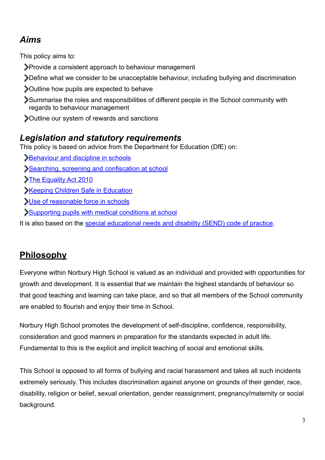### *Aims*

This policy aims to:

- Provide a consistent approach to behaviour management
- Define what we consider to be unacceptable behaviour, including bullying and discrimination
- Outline how pupils are expected to behave
- Summarise the roles and responsibilities of different people in the School community with regards to behaviour management
- Outline our system of rewards and sanctions

### *Legislation and statutory requirements*

This policy is based on advice from the Department for Education (DfE) on:

- **Behaviour and discipline in schools**
- [Searching, screening and confiscation at school](https://www.gov.uk/government/publications/searching-screening-and-confiscation)
- [The Equality Act 2010](https://www.gov.uk/government/publications/equality-act-2010-advice-for-schools)
- **[Keeping Children Safe in Education](https://www.gov.uk/government/publications/keeping-children-safe-in-education--2)**
- [Use of reasonable force in schools](https://www.gov.uk/government/publications/use-of-reasonable-force-in-schools)
- [Supporting pupils with medical conditions at school](https://www.gov.uk/government/publications/supporting-pupils-at-school-with-medical-conditions--3)

It is also based on the [special educational needs and disability \(SEND\) code of practice.](https://www.gov.uk/government/publications/send-code-of-practice-0-to-25)

### **Philosophy**

Everyone within Norbury High School is valued as an individual and provided with opportunities for growth and development. It is essential that we maintain the highest standards of behaviour so that good teaching and learning can take place, and so that all members of the School community are enabled to flourish and enjoy their time in School.

Norbury High School promotes the development of self-discipline, confidence, responsibility, consideration and good manners in preparation for the standards expected in adult life. Fundamental to this is the explicit and implicit teaching of social and emotional skills.

This School is opposed to all forms of bullying and racial harassment and takes all such incidents extremely seriously. This includes discrimination against anyone on grounds of their gender, race, disability, religion or belief, sexual orientation, gender reassignment, pregnancy/maternity or social background.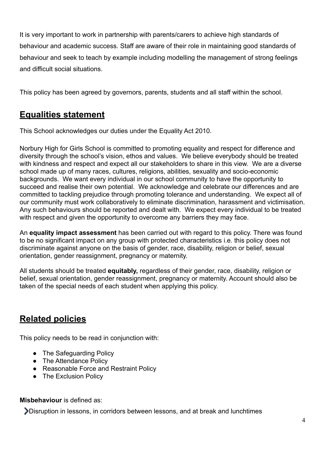It is very important to work in partnership with parents/carers to achieve high standards of behaviour and academic success. Staff are aware of their role in maintaining good standards of behaviour and seek to teach by example including modelling the management of strong feelings and difficult social situations.

This policy has been agreed by governors, parents, students and all staff within the school.

### **Equalities statement**

This School acknowledges our duties under the Equality Act 2010.

Norbury High for Girls School is committed to promoting equality and respect for difference and diversity through the school's vision, ethos and values. We believe everybody should be treated with kindness and respect and expect all our stakeholders to share in this view. We are a diverse school made up of many races, cultures, religions, abilities, sexuality and socio-economic backgrounds. We want every individual in our school community to have the opportunity to succeed and realise their own potential. We acknowledge and celebrate our differences and are committed to tackling prejudice through promoting tolerance and understanding. We expect all of our community must work collaboratively to eliminate discrimination, harassment and victimisation. Any such behaviours should be reported and dealt with. We expect every individual to be treated with respect and given the opportunity to overcome any barriers they may face.

An **equality impact assessment** has been carried out with regard to this policy. There was found to be no significant impact on any group with protected characteristics i.e. this policy does not discriminate against anyone on the basis of gender, race, disability, religion or belief, sexual orientation, gender reassignment, pregnancy or maternity.

All students should be treated **equitably,** regardless of their gender, race, disability, religion or belief, sexual orientation, gender reassignment, pregnancy or maternity. Account should also be taken of the special needs of each student when applying this policy.

### **Related policies**

This policy needs to be read in conjunction with:

- The Safeguarding Policy
- The Attendance Policy
- Reasonable Force and Restraint Policy
- The Exclusion Policy

#### **Misbehaviour** is defined as:

Disruption in lessons, in corridors between lessons, and at break and lunchtimes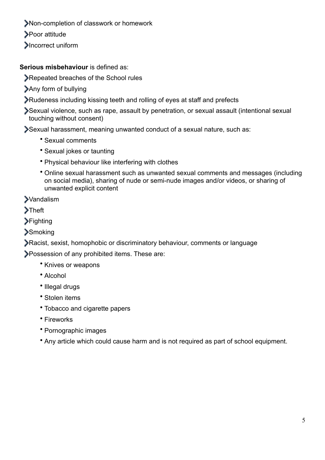- Non-completion of classwork or homework
- **>Poor attitude**
- **Incorrect uniform**

**Serious misbehaviour** is defined as:

Repeated breaches of the School rules

- Any form of bullying
- Rudeness including kissing teeth and rolling of eyes at staff and prefects

Sexual violence, such as rape, assault by penetration, or sexual assault (intentional sexual touching without consent)

Sexual harassment, meaning unwanted conduct of a sexual nature, such as:

- Sexual comments
- Sexual jokes or taunting
- Physical behaviour like interfering with clothes
- Online sexual harassment such as unwanted sexual comments and messages (including on social media), sharing of nude or semi-nude images and/or videos, or sharing of unwanted explicit content

**>Vandalism** 

**>Theft** 

**>Fighting** 

**>Smoking** 

Racist, sexist, homophobic or discriminatory behaviour, comments or language

Possession of any prohibited items. These are:

- Knives or weapons
- Alcohol
- Illegal drugs
- Stolen items
- Tobacco and cigarette papers
- Fireworks
- Pornographic images
- Any article which could cause harm and is not required as part of school equipment.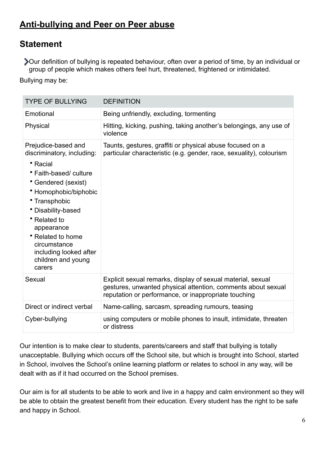### **Anti-bullying and Peer on Peer abuse**

### **Statement**

Our definition of bullying is repeated behaviour, often over a period of time, by an individual or group of people which makes others feel hurt, threatened, frightened or intimidated.

Bullying may be:

| <b>TYPE OF BULLYING</b>                                                                                                                                                                                                                                                                                     | <b>DEFINITION</b>                                                                                                                                                                   |
|-------------------------------------------------------------------------------------------------------------------------------------------------------------------------------------------------------------------------------------------------------------------------------------------------------------|-------------------------------------------------------------------------------------------------------------------------------------------------------------------------------------|
| Emotional                                                                                                                                                                                                                                                                                                   | Being unfriendly, excluding, tormenting                                                                                                                                             |
| Physical                                                                                                                                                                                                                                                                                                    | Hitting, kicking, pushing, taking another's belongings, any use of<br>violence                                                                                                      |
| Prejudice-based and<br>discriminatory, including:<br>• Racial<br>• Faith-based/ culture<br>• Gendered (sexist)<br>• Homophobic/biphobic<br>• Transphobic<br>• Disability-based<br>• Related to<br>appearance<br>• Related to home<br>circumstance<br>including looked after<br>children and young<br>carers | Taunts, gestures, graffiti or physical abuse focused on a<br>particular characteristic (e.g. gender, race, sexuality), colourism                                                    |
| Sexual                                                                                                                                                                                                                                                                                                      | Explicit sexual remarks, display of sexual material, sexual<br>gestures, unwanted physical attention, comments about sexual<br>reputation or performance, or inappropriate touching |
| Direct or indirect verbal                                                                                                                                                                                                                                                                                   | Name-calling, sarcasm, spreading rumours, teasing                                                                                                                                   |
| Cyber-bullying                                                                                                                                                                                                                                                                                              | using computers or mobile phones to insult, intimidate, threaten<br>or distress                                                                                                     |

Our intention is to make clear to students, parents/careers and staff that bullying is totally unacceptable. Bullying which occurs off the School site, but which is brought into School, started in School, involves the School's online learning platform or relates to school in any way, will be dealt with as if it had occurred on the School premises.

Our aim is for all students to be able to work and live in a happy and calm environment so they will be able to obtain the greatest benefit from their education. Every student has the right to be safe and happy in School.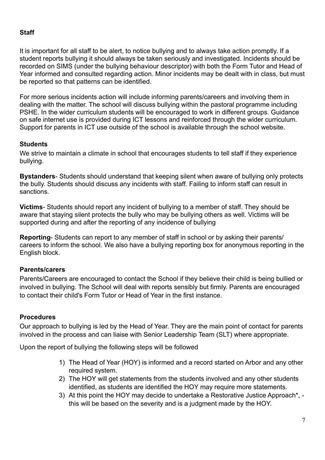#### **Staff**

It is important for all staff to be alert, to notice bullying and to always take action promptly. If a student reports bullying it should always be taken seriously and investigated. Incidents should be recorded on SIMS (under the bullying behaviour descriptor) with both the Form Tutor and Head of Year informed and consulted regarding action. Minor incidents may be dealt with in class, but must be reported so that patterns can be identified.

For more serious incidents action will include informing parents/careers and involving them in dealing with the matter. The school will discuss bullying within the pastoral programme including PSHE. In the wider curriculum students will be encouraged to work in different groups. Guidance on safe internet use is provided during ICT lessons and reinforced through the wider curriculum. Support for parents in ICT use outside of the school is available through the school website.

#### **Students**

We strive to maintain a climate in school that encourages students to tell staff if they experience bullying.

**Bystanders**- Students should understand that keeping silent when aware of bullying only protects the bully. Students should discuss any incidents with staff. Failing to inform staff can result in sanctions.

**Victims**- Students should report any incident of bullying to a member of staff. They should be aware that staying silent protects the bully who may be bullying others as well. Victims will be supported during and after the reporting of any incidence of bullying

**Reporting**- Students can report to any member of staff in school or by asking their parents/ careers to inform the school. We also have a bullying reporting box for anonymous reporting in the English block.

#### **Parents/carers**

Parents/Careers are encouraged to contact the School if they believe their child is being bullied or involved in bullying. The School will deal with reports sensibly but firmly. Parents are encouraged to contact their child's Form Tutor or Head of Year in the first instance.

#### **Procedures**

Our approach to bullying is led by the Head of Year. They are the main point of contact for parents involved in the process and can liaise with Senior Leadership Team (SLT) where appropriate.

Upon the report of bullying the following steps will be followed

- 1) The Head of Year (HOY) is informed and a record started on Arbor and any other required system.
- 2) The HOY will get statements from the students involved and any other students identified, as students are identified the HOY may require more statements.
- 3) At this point the HOY may decide to undertake a Restorative Justice Approach\*, this will be based on the severity and is a judgment made by the HOY.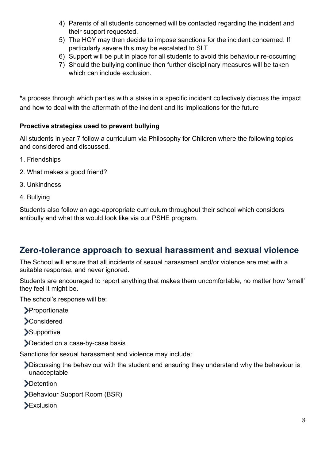- 4) Parents of all students concerned will be contacted regarding the incident and their support requested.
- 5) The HOY may then decide to impose sanctions for the incident concerned. If particularly severe this may be escalated to SLT
- 6) Support will be put in place for all students to avoid this behaviour re-occurring
- 7) Should the bullying continue then further disciplinary measures will be taken which can include exclusion.

**\***a process through which parties with a stake in a specific incident collectively discuss the impact and how to deal with the aftermath of the incident and its implications for the future

#### **Proactive strategies used to prevent bullying**

All students in year 7 follow a curriculum via Philosophy for Children where the following topics and considered and discussed.

- 1. Friendships
- 2. What makes a good friend?
- 3. Unkindness
- 4. Bullying

Students also follow an age-appropriate curriculum throughout their school which considers antibully and what this would look like via our PSHE program.

### **Zero-tolerance approach to sexual harassment and sexual violence**

The School will ensure that all incidents of sexual harassment and/or violence are met with a suitable response, and never ignored.

Students are encouraged to report anything that makes them uncomfortable, no matter how 'small' they feel it might be.

The school's response will be:

**>Proportionate** 

**>Considered** 

- **Supportive**
- Decided on a case-by-case basis

Sanctions for sexual harassment and violence may include:

- Discussing the behaviour with the student and ensuring they understand why the behaviour is unacceptable
- **>Detention**
- Behaviour Support Room (BSR)
- **Exclusion**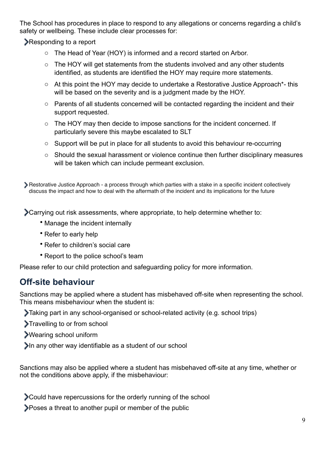The School has procedures in place to respond to any allegations or concerns regarding a child's safety or wellbeing. These include clear processes for:

**Responding to a report** 

- o The Head of Year (HOY) is informed and a record started on Arbor.
- o The HOY will get statements from the students involved and any other students identified, as students are identified the HOY may require more statements.
- o At this point the HOY may decide to undertake a Restorative Justice Approach\*- this will be based on the severity and is a judgment made by the HOY.
- o Parents of all students concerned will be contacted regarding the incident and their support requested.
- o The HOY may then decide to impose sanctions for the incident concerned. If particularly severe this maybe escalated to SLT
- o Support will be put in place for all students to avoid this behaviour re-occurring
- o Should the sexual harassment or violence continue then further disciplinary measures will be taken which can include permeant exclusion.

Restorative Justice Approach - a process through which parties with a stake in a specific incident collectively discuss the impact and how to deal with the aftermath of the incident and its implications for the future

Carrying out risk assessments, where appropriate, to help determine whether to:

- Manage the incident internally
- Refer to early help
- Refer to children's social care
- Report to the police school's team

Please refer to our child protection and safeguarding policy for more information.

### **Off-site behaviour**

Sanctions may be applied where a student has misbehaved off-site when representing the school. This means misbehaviour when the student is:

- Taking part in any school-organised or school-related activity (e.g. school trips)
- Travelling to or from school
- Wearing school uniform
- In any other way identifiable as a student of our school

Sanctions may also be applied where a student has misbehaved off-site at any time, whether or not the conditions above apply, if the misbehaviour:

Could have repercussions for the orderly running of the school

Poses a threat to another pupil or member of the public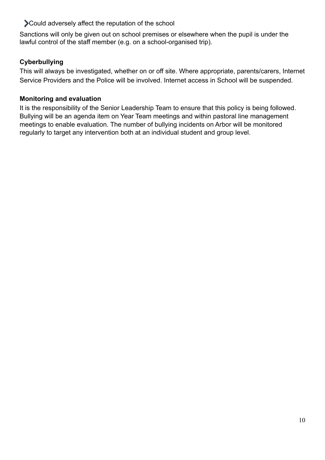Could adversely affect the reputation of the school

Sanctions will only be given out on school premises or elsewhere when the pupil is under the lawful control of the staff member (e.g. on a school-organised trip).

#### **Cyberbullying**

This will always be investigated, whether on or off site. Where appropriate, parents/carers, Internet Service Providers and the Police will be involved. Internet access in School will be suspended.

#### **Monitoring and evaluation**

It is the responsibility of the Senior Leadership Team to ensure that this policy is being followed. Bullying will be an agenda item on Year Team meetings and within pastoral line management meetings to enable evaluation. The number of bullying incidents on Arbor will be monitored regularly to target any intervention both at an individual student and group level.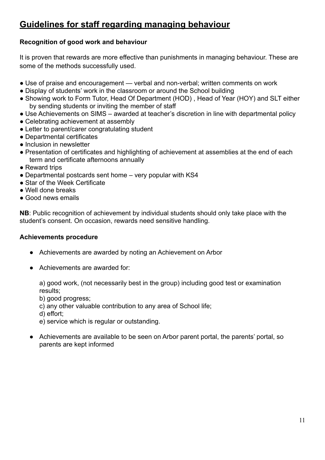### **Guidelines for staff regarding managing behaviour**

#### **Recognition of good work and behaviour**

It is proven that rewards are more effective than punishments in managing behaviour. These are some of the methods successfully used.

- Use of praise and encouragement verbal and non-verbal; written comments on work
- Display of students' work in the classroom or around the School building
- Showing work to Form Tutor, Head Of Department (HOD), Head of Year (HOY) and SLT either by sending students or inviting the member of staff
- Use Achievements on SIMS awarded at teacher's discretion in line with departmental policy
- Celebrating achievement at assembly
- Letter to parent/carer congratulating student
- Departmental certificates
- Inclusion in newsletter
- Presentation of certificates and highlighting of achievement at assemblies at the end of each term and certificate afternoons annually
- Reward trips
- Departmental postcards sent home very popular with KS4
- Star of the Week Certificate
- Well done breaks
- Good news emails

**NB**: Public recognition of achievement by individual students should only take place with the student's consent. On occasion, rewards need sensitive handling.

#### **Achievements procedure**

- Achievements are awarded by noting an Achievement on Arbor
- Achievements are awarded for:

 a) good work, (not necessarily best in the group) including good test or examination results;

- b) good progress;
- c) any other valuable contribution to any area of School life;
- d) effort;
- e) service which is regular or outstanding.
- Achievements are available to be seen on Arbor parent portal, the parents' portal, so parents are kept informed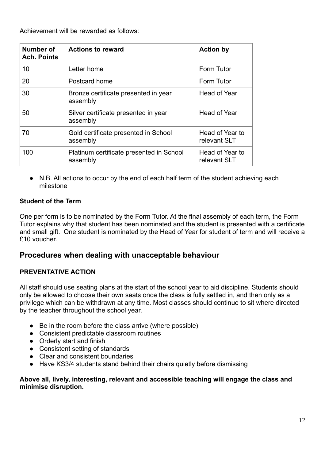Achievement will be rewarded as follows:

| Number of<br><b>Ach. Points</b> | <b>Actions to reward</b>                             | <b>Action by</b>                |
|---------------------------------|------------------------------------------------------|---------------------------------|
| 10                              | Letter home                                          | Form Tutor                      |
| 20                              | Postcard home                                        | Form Tutor                      |
| 30                              | Bronze certificate presented in year<br>assembly     | Head of Year                    |
| 50                              | Silver certificate presented in year<br>assembly     | <b>Head of Year</b>             |
| 70                              | Gold certificate presented in School<br>assembly     | Head of Year to<br>relevant SLT |
| 100                             | Platinum certificate presented in School<br>assembly | Head of Year to<br>relevant SLT |

● N.B. All actions to occur by the end of each half term of the student achieving each milestone

#### **Student of the Term**

One per form is to be nominated by the Form Tutor. At the final assembly of each term, the Form Tutor explains why that student has been nominated and the student is presented with a certificate and small gift. One student is nominated by the Head of Year for student of term and will receive a £10 voucher.

#### **Procedures when dealing with unacceptable behaviour**

#### **PREVENTATIVE ACTION**

All staff should use seating plans at the start of the school year to aid discipline. Students should only be allowed to choose their own seats once the class is fully settled in, and then only as a privilege which can be withdrawn at any time. Most classes should continue to sit where directed by the teacher throughout the school year.

- Be in the room before the class arrive (where possible)
- Consistent predictable classroom routines
- Orderly start and finish
- Consistent setting of standards
- Clear and consistent boundaries
- Have KS3/4 students stand behind their chairs quietly before dismissing

#### **Above all, lively, interesting, relevant and accessible teaching will engage the class and minimise disruption.**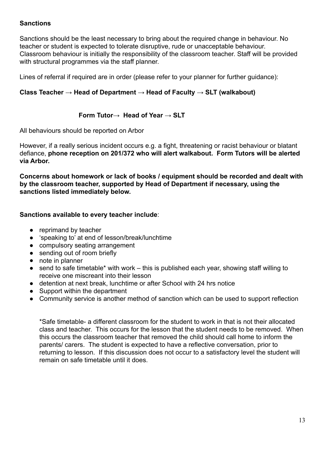#### **Sanctions**

Sanctions should be the least necessary to bring about the required change in behaviour. No teacher or student is expected to tolerate disruptive, rude or unacceptable behaviour. Classroom behaviour is initially the responsibility of the classroom teacher. Staff will be provided with structural programmes via the staff planner.

Lines of referral if required are in order (please refer to your planner for further guidance):

#### **Class Teacher → Head of Department → Head of Faculty → SLT (walkabout)**

#### **Form Tutor→ Head of Year → SLT**

All behaviours should be reported on Arbor

However, if a really serious incident occurs e.g. a fight, threatening or racist behaviour or blatant defiance, **phone reception on 201/372 who will alert walkabout. Form Tutors will be alerted via Arbor.**

**Concerns about homework or lack of books / equipment should be recorded and dealt with by the classroom teacher, supported by Head of Department if necessary, using the sanctions listed immediately below.** 

#### **Sanctions available to every teacher include**:

- reprimand by teacher
- 'speaking to' at end of lesson/break/lunchtime
- compulsory seating arrangement
- sending out of room briefly
- note in planner
- send to safe timetable\* with work this is published each vear, showing staff willing to receive one miscreant into their lesson
- detention at next break, lunchtime or after School with 24 hrs notice
- Support within the department
- Community service is another method of sanction which can be used to support reflection

\*Safe timetable- a different classroom for the student to work in that is not their allocated class and teacher. This occurs for the lesson that the student needs to be removed. When this occurs the classroom teacher that removed the child should call home to inform the parents/ carers. The student is expected to have a reflective conversation, prior to returning to lesson. If this discussion does not occur to a satisfactory level the student will remain on safe timetable until it does.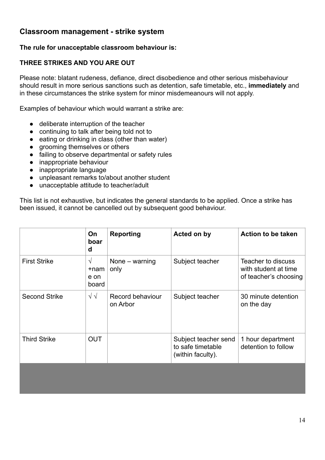### **Classroom management - strike system**

#### **The rule for unacceptable classroom behaviour is:**

#### **THREE STRIKES AND YOU ARE OUT**

Please note: blatant rudeness, defiance, direct disobedience and other serious misbehaviour should result in more serious sanctions such as detention, safe timetable, etc., **immediately** and in these circumstances the strike system for minor misdemeanours will not apply.

Examples of behaviour which would warrant a strike are:

- deliberate interruption of the teacher
- continuing to talk after being told not to
- eating or drinking in class (other than water)
- grooming themselves or others
- failing to observe departmental or safety rules
- inappropriate behaviour
- inappropriate language
- unpleasant remarks to/about another student
- unacceptable attitude to teacher/adult

This list is not exhaustive, but indicates the general standards to be applied. Once a strike has been issued, it cannot be cancelled out by subsequent good behaviour.

|                      | On<br>boar<br>d                    | <b>Reporting</b>             | Acted on by                                                    | <b>Action to be taken</b>                                           |
|----------------------|------------------------------------|------------------------------|----------------------------------------------------------------|---------------------------------------------------------------------|
| <b>First Strike</b>  | $\sqrt{}$<br>+nam<br>e on<br>board | None $-$ warning<br>only     | Subject teacher                                                | Teacher to discuss<br>with student at time<br>of teacher's choosing |
| <b>Second Strike</b> | $\sqrt{\sqrt{2}}$                  | Record behaviour<br>on Arbor | Subject teacher                                                | 30 minute detention<br>on the day                                   |
| <b>Third Strike</b>  | <b>OUT</b>                         |                              | Subject teacher send<br>to safe timetable<br>(within faculty). | 1 hour department<br>detention to follow                            |
|                      |                                    |                              |                                                                |                                                                     |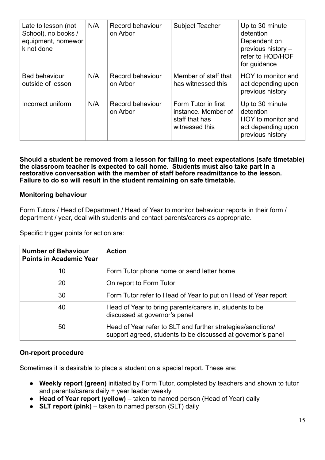| Late to lesson (not<br>School), no books /<br>equipment, homewor<br>k not done | N/A                                 | Record behaviour<br>on Arbor | <b>Subject Teacher</b>                                                         | Up to 30 minute<br>detention<br>Dependent on<br>previous history -<br>refer to HOD/HOF<br>for guidance |
|--------------------------------------------------------------------------------|-------------------------------------|------------------------------|--------------------------------------------------------------------------------|--------------------------------------------------------------------------------------------------------|
| <b>Bad behaviour</b><br>outside of lesson                                      | N/A                                 | Record behaviour<br>on Arbor | Member of staff that<br>has witnessed this                                     | HOY to monitor and<br>act depending upon<br>previous history                                           |
| Incorrect uniform                                                              | N/A<br>Record behaviour<br>on Arbor |                              | Form Tutor in first<br>instance. Member of<br>staff that has<br>witnessed this | Up to 30 minute<br>detention<br>HOY to monitor and<br>act depending upon<br>previous history           |

**Should a student be removed from a lesson for failing to meet expectations (safe timetable) the classroom teacher is expected to call home. Students must also take part in a restorative conversation with the member of staff before readmittance to the lesson. Failure to do so will result in the student remaining on safe timetable.**

#### **Monitoring behaviour**

Form Tutors / Head of Department / Head of Year to monitor behaviour reports in their form / department / year, deal with students and contact parents/carers as appropriate.

Specific trigger points for action are:

| <b>Number of Behaviour</b><br><b>Points in Academic Year</b> | <b>Action</b>                                                                                                               |
|--------------------------------------------------------------|-----------------------------------------------------------------------------------------------------------------------------|
| 10                                                           | Form Tutor phone home or send letter home                                                                                   |
| 20                                                           | On report to Form Tutor                                                                                                     |
| 30                                                           | Form Tutor refer to Head of Year to put on Head of Year report                                                              |
| 40                                                           | Head of Year to bring parents/carers in, students to be<br>discussed at governor's panel                                    |
| 50                                                           | Head of Year refer to SLT and further strategies/sanctions/<br>support agreed, students to be discussed at governor's panel |

#### **On-report procedure**

Sometimes it is desirable to place a student on a special report. These are:

- **Weekly report (green)** initiated by Form Tutor, completed by teachers and shown to tutor and parents/carers daily + year leader weekly
- **Head of Year report (yellow)** taken to named person (Head of Year) daily
- **SLT report (pink)** taken to named person (SLT) daily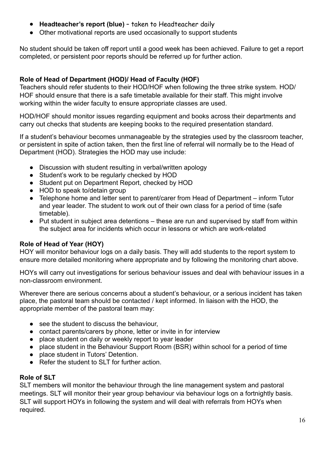- **Headteacher's report (blue)**  taken to Headteacher daily
- Other motivational reports are used occasionally to support students

No student should be taken off report until a good week has been achieved. Failure to get a report completed, or persistent poor reports should be referred up for further action.

#### **Role of Head of Department (HOD)/ Head of Faculty (HOF)**

Teachers should refer students to their HOD/HOF when following the three strike system. HOD/ HOF should ensure that there is a safe timetable available for their staff. This might involve working within the wider faculty to ensure appropriate classes are used.

HOD/HOF should monitor issues regarding equipment and books across their departments and carry out checks that students are keeping books to the required presentation standard.

If a student's behaviour becomes unmanageable by the strategies used by the classroom teacher, or persistent in spite of action taken, then the first line of referral will normally be to the Head of Department (HOD). Strategies the HOD may use include:

- Discussion with student resulting in verbal/written apology
- Student's work to be regularly checked by HOD
- Student put on Department Report, checked by HOD
- HOD to speak to/detain group
- Telephone home and letter sent to parent/carer from Head of Department inform Tutor and year leader. The student to work out of their own class for a period of time (safe timetable).
- Put student in subject area detentions these are run and supervised by staff from within the subject area for incidents which occur in lessons or which are work-related

#### **Role of Head of Year (HOY)**

HOY will monitor behaviour logs on a daily basis. They will add students to the report system to ensure more detailed monitoring where appropriate and by following the monitoring chart above.

HOYs will carry out investigations for serious behaviour issues and deal with behaviour issues in a non-classroom environment.

Wherever there are serious concerns about a student's behaviour, or a serious incident has taken place, the pastoral team should be contacted / kept informed. In liaison with the HOD, the appropriate member of the pastoral team may:

- see the student to discuss the behaviour,
- contact parents/carers by phone, letter or invite in for interview
- place student on daily or weekly report to year leader
- place student in the Behaviour Support Room (BSR) within school for a period of time
- place student in Tutors' Detention.
- Refer the student to SLT for further action

#### **Role of SLT**

SLT members will monitor the behaviour through the line management system and pastoral meetings. SLT will monitor their year group behaviour via behaviour logs on a fortnightly basis. SLT will support HOYs in following the system and will deal with referrals from HOYs when required.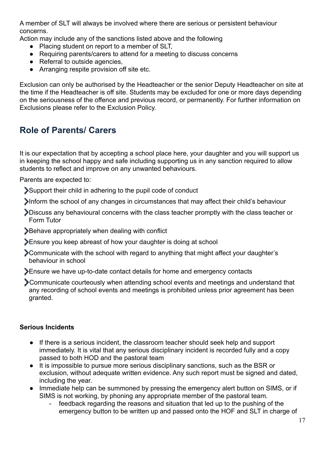A member of SLT will always be involved where there are serious or persistent behaviour concerns.

Action may include any of the sanctions listed above and the following

- Placing student on report to a member of SLT,
- Requiring parents/carers to attend for a meeting to discuss concerns
- Referral to outside agencies,
- Arranging respite provision off site etc.

Exclusion can only be authorised by the Headteacher or the senior Deputy Headteacher on site at the time if the Headteacher is off site. Students may be excluded for one or more days depending on the seriousness of the offence and previous record, or permanently. For further information on Exclusions please refer to the Exclusion Policy.

### **Role of Parents/ Carers**

It is our expectation that by accepting a school place here, your daughter and you will support us in keeping the school happy and safe including supporting us in any sanction required to allow students to reflect and improve on any unwanted behaviours.

Parents are expected to:

- Support their child in adhering to the pupil code of conduct
- Inform the school of any changes in circumstances that may affect their child's behaviour
- Discuss any behavioural concerns with the class teacher promptly with the class teacher or Form Tutor
- Behave appropriately when dealing with conflict
- Ensure you keep abreast of how your daughter is doing at school
- Communicate with the school with regard to anything that might affect your daughter's behaviour in school
- Ensure we have up-to-date contact details for home and emergency contacts
- Communicate courteously when attending school events and meetings and understand that any recording of school events and meetings is prohibited unless prior agreement has been granted.

#### **Serious Incidents**

- If there is a serious incident, the classroom teacher should seek help and support immediately. It is vital that any serious disciplinary incident is recorded fully and a copy passed to both HOD and the pastoral team
- It is impossible to pursue more serious disciplinary sanctions, such as the BSR or exclusion, without adequate written evidence. Any such report must be signed and dated, including the year.
- Immediate help can be summoned by pressing the emergency alert button on SIMS, or if SIMS is not working, by phoning any appropriate member of the pastoral team.
	- feedback regarding the reasons and situation that led up to the pushing of the emergency button to be written up and passed onto the HOF and SLT in charge of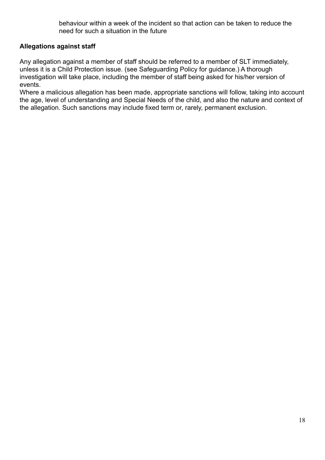behaviour within a week of the incident so that action can be taken to reduce the need for such a situation in the future

#### **Allegations against staff**

Any allegation against a member of staff should be referred to a member of SLT immediately, unless it is a Child Protection issue. (see Safeguarding Policy for guidance.) A thorough investigation will take place, including the member of staff being asked for his/her version of events.

Where a malicious allegation has been made, appropriate sanctions will follow, taking into account the age, level of understanding and Special Needs of the child, and also the nature and context of the allegation. Such sanctions may include fixed term or, rarely, permanent exclusion.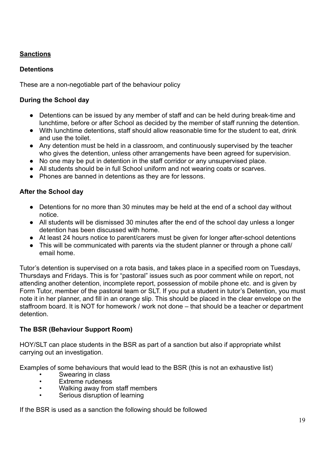#### **Sanctions**

#### **Detentions**

These are a non-negotiable part of the behaviour policy

#### **During the School day**

- Detentions can be issued by any member of staff and can be held during break-time and lunchtime, before or after School as decided by the member of staff running the detention.
- With lunchtime detentions, staff should allow reasonable time for the student to eat, drink and use the toilet.
- Any detention must be held in a classroom, and continuously supervised by the teacher who gives the detention, unless other arrangements have been agreed for supervision.
- No one may be put in detention in the staff corridor or any unsupervised place.
- All students should be in full School uniform and not wearing coats or scarves.
- Phones are banned in detentions as they are for lessons.

#### **After the School day**

- Detentions for no more than 30 minutes may be held at the end of a school day without notice.
- All students will be dismissed 30 minutes after the end of the school day unless a longer detention has been discussed with home.
- At least 24 hours notice to parent/carers must be given for longer after-school detentions
- This will be communicated with parents via the student planner or through a phone call/ email home.

Tutor's detention is supervised on a rota basis, and takes place in a specified room on Tuesdays, Thursdays and Fridays. This is for "pastoral" issues such as poor comment while on report, not attending another detention, incomplete report, possession of mobile phone etc. and is given by Form Tutor, member of the pastoral team or SLT. If you put a student in tutor's Detention, you must note it in her planner, and fill in an orange slip. This should be placed in the clear envelope on the staffroom board. It is NOT for homework / work not done – that should be a teacher or department detention.

#### **The BSR (Behaviour Support Room)**

HOY/SLT can place students in the BSR as part of a sanction but also if appropriate whilst carrying out an investigation.

Examples of some behaviours that would lead to the BSR (this is not an exhaustive list)

- Swearing in class
- Extreme rudeness
- Walking away from staff members
- Serious disruption of learning

If the BSR is used as a sanction the following should be followed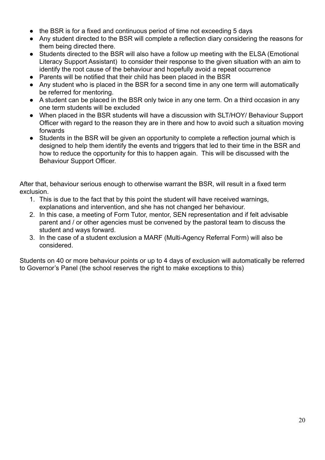- the BSR is for a fixed and continuous period of time not exceeding 5 days
- Any student directed to the BSR will complete a reflection diary considering the reasons for them being directed there.
- Students directed to the BSR will also have a follow up meeting with the ELSA (Emotional Literacy Support Assistant) to consider their response to the given situation with an aim to identify the root cause of the behaviour and hopefully avoid a repeat occurrence
- Parents will be notified that their child has been placed in the BSR
- Any student who is placed in the BSR for a second time in any one term will automatically be referred for mentoring.
- A student can be placed in the BSR only twice in any one term. On a third occasion in any one term students will be excluded
- When placed in the BSR students will have a discussion with SLT/HOY/ Behaviour Support Officer with regard to the reason they are in there and how to avoid such a situation moving forwards
- Students in the BSR will be given an opportunity to complete a reflection journal which is designed to help them identify the events and triggers that led to their time in the BSR and how to reduce the opportunity for this to happen again. This will be discussed with the Behaviour Support Officer.

After that, behaviour serious enough to otherwise warrant the BSR, will result in a fixed term exclusion.

- 1. This is due to the fact that by this point the student will have received warnings, explanations and intervention, and she has not changed her behaviour.
- 2. In this case, a meeting of Form Tutor, mentor, SEN representation and if felt advisable parent and / or other agencies must be convened by the pastoral team to discuss the student and ways forward.
- 3. In the case of a student exclusion a MARF (Multi-Agency Referral Form) will also be considered.

Students on 40 or more behaviour points or up to 4 days of exclusion will automatically be referred to Governor's Panel (the school reserves the right to make exceptions to this)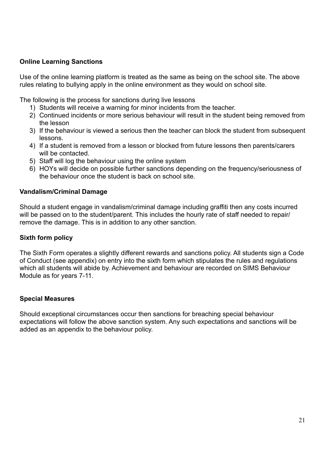#### **Online Learning Sanctions**

Use of the online learning platform is treated as the same as being on the school site. The above rules relating to bullying apply in the online environment as they would on school site.

The following is the process for sanctions during live lessons

- 1) Students will receive a warning for minor incidents from the teacher.
- 2) Continued incidents or more serious behaviour will result in the student being removed from the lesson
- 3) If the behaviour is viewed a serious then the teacher can block the student from subsequent lessons.
- 4) If a student is removed from a lesson or blocked from future lessons then parents/carers will be contacted.
- 5) Staff will log the behaviour using the online system
- 6) HOYs will decide on possible further sanctions depending on the frequency/seriousness of the behaviour once the student is back on school site.

#### **Vandalism/Criminal Damage**

Should a student engage in vandalism/criminal damage including graffiti then any costs incurred will be passed on to the student/parent. This includes the hourly rate of staff needed to repair/ remove the damage. This is in addition to any other sanction.

#### **Sixth form policy**

The Sixth Form operates a slightly different rewards and sanctions policy. All students sign a Code of Conduct (see appendix) on entry into the sixth form which stipulates the rules and regulations which all students will abide by. Achievement and behaviour are recorded on SIMS Behaviour Module as for years 7-11.

#### **Special Measures**

Should exceptional circumstances occur then sanctions for breaching special behaviour expectations will follow the above sanction system. Any such expectations and sanctions will be added as an appendix to the behaviour policy.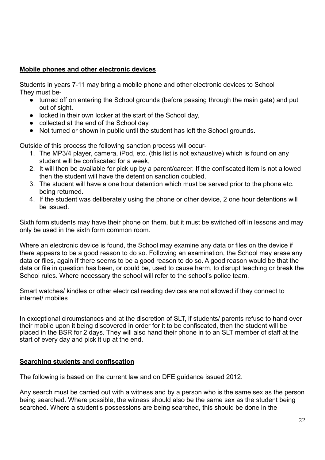#### **Mobile phones and other electronic devices**

Students in years 7-11 may bring a mobile phone and other electronic devices to School They must be-

- turned off on entering the School grounds (before passing through the main gate) and put out of sight.
- locked in their own locker at the start of the School day,
- collected at the end of the School day.
- Not turned or shown in public until the student has left the School grounds.

Outside of this process the following sanction process will occur-

- 1. The MP3/4 player, camera, iPod, etc. (this list is not exhaustive) which is found on any student will be confiscated for a week,
- 2. It will then be available for pick up by a parent/career. If the confiscated item is not allowed then the student will have the detention sanction doubled.
- 3. The student will have a one hour detention which must be served prior to the phone etc. being returned.
- 4. If the student was deliberately using the phone or other device, 2 one hour detentions will be issued.

Sixth form students may have their phone on them, but it must be switched off in lessons and may only be used in the sixth form common room.

Where an electronic device is found, the School may examine any data or files on the device if there appears to be a good reason to do so. Following an examination, the School may erase any data or files, again if there seems to be a good reason to do so. A good reason would be that the data or file in question has been, or could be, used to cause harm, to disrupt teaching or break the School rules. Where necessary the school will refer to the school's police team.

Smart watches/ kindles or other electrical reading devices are not allowed if they connect to internet/ mobiles

In exceptional circumstances and at the discretion of SLT, if students/ parents refuse to hand over their mobile upon it being discovered in order for it to be confiscated, then the student will be placed in the BSR for 2 days. They will also hand their phone in to an SLT member of staff at the start of every day and pick it up at the end.

#### **Searching students and confiscation**

The following is based on the current law and on DFE guidance issued 2012.

Any search must be carried out with a witness and by a person who is the same sex as the person being searched. Where possible, the witness should also be the same sex as the student being searched. Where a student's possessions are being searched, this should be done in the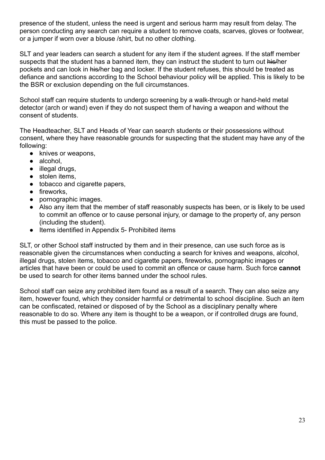presence of the student, unless the need is urgent and serious harm may result from delay. The person conducting any search can require a student to remove coats, scarves, gloves or footwear, or a jumper if worn over a blouse /shirt, but no other clothing.

SLT and year leaders can search a student for any item if the student agrees. If the staff member suspects that the student has a banned item, they can instruct the student to turn out his/her pockets and can look in his/her bag and locker. If the student refuses, this should be treated as defiance and sanctions according to the School behaviour policy will be applied. This is likely to be the BSR or exclusion depending on the full circumstances.

School staff can require students to undergo screening by a walk-through or hand-held metal detector (arch or wand) even if they do not suspect them of having a weapon and without the consent of students.

The Headteacher, SLT and Heads of Year can search students or their possessions without consent, where they have reasonable grounds for suspecting that the student may have any of the following:

- knives or weapons,
- alcohol.
- illegal drugs,
- stolen items,
- tobacco and cigarette papers,
- fireworks,
- pornographic images.
- Also any item that the member of staff reasonably suspects has been, or is likely to be used to commit an offence or to cause personal injury, or damage to the property of, any person (including the student).
- Items identified in Appendix 5- Prohibited items

SLT, or other School staff instructed by them and in their presence, can use such force as is reasonable given the circumstances when conducting a search for knives and weapons, alcohol, illegal drugs, stolen items, tobacco and cigarette papers, fireworks, pornographic images or articles that have been or could be used to commit an offence or cause harm. Such force **cannot** be used to search for other items banned under the school rules.

School staff can seize any prohibited item found as a result of a search. They can also seize any item, however found, which they consider harmful or detrimental to school discipline. Such an item can be confiscated, retained or disposed of by the School as a disciplinary penalty where reasonable to do so. Where any item is thought to be a weapon, or if controlled drugs are found, this must be passed to the police.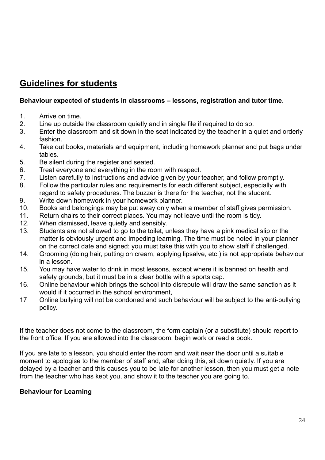### **Guidelines for students**

#### **Behaviour expected of students in classrooms – lessons, registration and tutor time**.

- 1. Arrive on time.
- 2. Line up outside the classroom quietly and in single file if required to do so.
- 3. Enter the classroom and sit down in the seat indicated by the teacher in a quiet and orderly fashion.
- 4. Take out books, materials and equipment, including homework planner and put bags under tables.
- 5. Be silent during the register and seated.
- 6. Treat everyone and everything in the room with respect.
- 7. Listen carefully to instructions and advice given by your teacher, and follow promptly.
- 8. Follow the particular rules and requirements for each different subject, especially with regard to safety procedures. The buzzer is there for the teacher, not the student.
- 9. Write down homework in your homework planner.
- 10. Books and belongings may be put away only when a member of staff gives permission.
- 11. Return chairs to their correct places. You may not leave until the room is tidy.
- 12. When dismissed, leave quietly and sensibly.
- 13. Students are not allowed to go to the toilet, unless they have a pink medical slip or the matter is obviously urgent and impeding learning. The time must be noted in your planner on the correct date and signed; you must take this with you to show staff if challenged.
- 14. Grooming (doing hair, putting on cream, applying lipsalve, etc.) is not appropriate behaviour in a lesson.
- 15. You may have water to drink in most lessons, except where it is banned on health and safety grounds, but it must be in a clear bottle with a sports cap.
- 16. Online behaviour which brings the school into disrepute will draw the same sanction as it would if it occurred in the school environment,
- 17 Online bullying will not be condoned and such behaviour will be subject to the anti-bullying policy.

If the teacher does not come to the classroom, the form captain (or a substitute) should report to the front office. If you are allowed into the classroom, begin work or read a book.

If you are late to a lesson, you should enter the room and wait near the door until a suitable moment to apologise to the member of staff and, after doing this, sit down quietly. If you are delayed by a teacher and this causes you to be late for another lesson, then you must get a note from the teacher who has kept you, and show it to the teacher you are going to.

#### **Behaviour for Learning**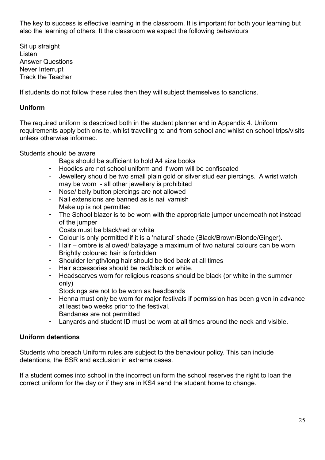The key to success is effective learning in the classroom. It is important for both your learning but also the learning of others. It the classroom we expect the following behaviours

Sit up straight Listen Answer Questions Never Interrupt Track the Teacher

If students do not follow these rules then they will subject themselves to sanctions.

#### **Uniform**

The required uniform is described both in the student planner and in Appendix 4. Uniform requirements apply both onsite, whilst travelling to and from school and whilst on school trips/visits unless otherwise informed.

Students should be aware

- Bags should be sufficient to hold A4 size books
- Hoodies are not school uniform and if worn will be confiscated
- Jewellery should be two small plain gold or silver stud ear piercings. A wrist watch may be worn - all other jewellery is prohibited
- Nose/ belly button piercings are not allowed
- Nail extensions are banned as is nail varnish
- Make up is not permitted
- The School blazer is to be worn with the appropriate jumper underneath not instead of the jumper
- Coats must be black/red or white
- Colour is only permitted if it is a 'natural' shade (Black/Brown/Blonde/Ginger).
- Hair ombre is allowed/ balayage a maximum of two natural colours can be worn
- Brightly coloured hair is forbidden
- Shoulder length/long hair should be tied back at all times
- Hair accessories should be red/black or white.
- Headscarves worn for religious reasons should be black (or white in the summer only)
- Stockings are not to be worn as headbands
- Henna must only be worn for major festivals if permission has been given in advance at least two weeks prior to the festival.
- Bandanas are not permitted
- Lanyards and student ID must be worn at all times around the neck and visible.

#### **Uniform detentions**

Students who breach Uniform rules are subject to the behaviour policy. This can include detentions, the BSR and exclusion in extreme cases.

If a student comes into school in the incorrect uniform the school reserves the right to loan the correct uniform for the day or if they are in KS4 send the student home to change.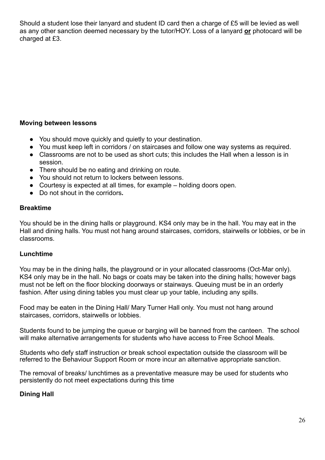Should a student lose their lanyard and student ID card then a charge of £5 will be levied as well as any other sanction deemed necessary by the tutor/HOY. Loss of a lanyard **or** photocard will be charged at £3.

#### **Moving between lessons**

- You should move quickly and quietly to your destination.
- You must keep left in corridors / on staircases and follow one way systems as required.
- Classrooms are not to be used as short cuts; this includes the Hall when a lesson is in session.
- There should be no eating and drinking on route.
- You should not return to lockers between lessons.
- Courtesy is expected at all times, for example holding doors open.
- Do not shout in the corridors*.*

#### **Breaktime**

You should be in the dining halls or playground. KS4 only may be in the hall. You may eat in the Hall and dining halls. You must not hang around staircases, corridors, stairwells or lobbies, or be in classrooms.

#### **Lunchtime**

You may be in the dining halls, the playground or in your allocated classrooms (Oct-Mar only). KS4 only may be in the hall. No bags or coats may be taken into the dining halls; however bags must not be left on the floor blocking doorways or stairways. Queuing must be in an orderly fashion. After using dining tables you must clear up your table, including any spills.

Food may be eaten in the Dining Hall/ Mary Turner Hall only. You must not hang around staircases, corridors, stairwells or lobbies.

Students found to be jumping the queue or barging will be banned from the canteen. The school will make alternative arrangements for students who have access to Free School Meals.

Students who defy staff instruction or break school expectation outside the classroom will be referred to the Behaviour Support Room or more incur an alternative appropriate sanction.

The removal of breaks/ lunchtimes as a preventative measure may be used for students who persistently do not meet expectations during this time

#### **Dining Hall**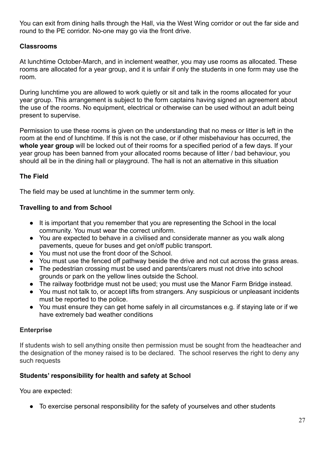You can exit from dining halls through the Hall, via the West Wing corridor or out the far side and round to the PE corridor. No-one may go via the front drive.

#### **Classrooms**

At lunchtime October-March, and in inclement weather, you may use rooms as allocated. These rooms are allocated for a year group, and it is unfair if only the students in one form may use the room.

During lunchtime you are allowed to work quietly or sit and talk in the rooms allocated for your year group. This arrangement is subject to the form captains having signed an agreement about the use of the rooms. No equipment, electrical or otherwise can be used without an adult being present to supervise.

Permission to use these rooms is given on the understanding that no mess or litter is left in the room at the end of lunchtime. If this is not the case, or if other misbehaviour has occurred, the **whole year group** will be locked out of their rooms for a specified period of a few days. If your year group has been banned from your allocated rooms because of litter / bad behaviour, you should all be in the dining hall or playground. The hall is not an alternative in this situation

#### **The Field**

The field may be used at lunchtime in the summer term only.

#### **Travelling to and from School**

- It is important that you remember that you are representing the School in the local community. You must wear the correct uniform.
- You are expected to behave in a civilised and considerate manner as you walk along pavements, queue for buses and get on/off public transport.
- You must not use the front door of the School.
- You must use the fenced off pathway beside the drive and not cut across the grass areas.
- The pedestrian crossing must be used and parents/carers must not drive into school grounds or park on the yellow lines outside the School.
- The railway footbridge must not be used; you must use the Manor Farm Bridge instead.
- You must not talk to, or accept lifts from strangers. Any suspicious or unpleasant incidents must be reported to the police.
- You must ensure they can get home safely in all circumstances e.g. if staying late or if we have extremely bad weather conditions

#### **Enterprise**

If students wish to sell anything onsite then permission must be sought from the headteacher and the designation of the money raised is to be declared. The school reserves the right to deny any such requests

#### **Students' responsibility for health and safety at School**

You are expected:

● To exercise personal responsibility for the safety of yourselves and other students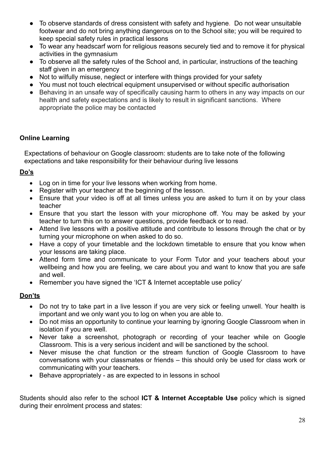- To observe standards of dress consistent with safety and hygiene. Do not wear unsuitable footwear and do not bring anything dangerous on to the School site; you will be required to keep special safety rules in practical lessons
- To wear any headscarf worn for religious reasons securely tied and to remove it for physical activities in the gymnasium
- To observe all the safety rules of the School and, in particular, instructions of the teaching staff given in an emergency
- Not to wilfully misuse, neglect or interfere with things provided for your safety
- You must not touch electrical equipment unsupervised or without specific authorisation
- Behaving in an unsafe way of specifically causing harm to others in any way impacts on our health and safety expectations and is likely to result in significant sanctions. Where appropriate the police may be contacted

#### **Online Learning**

Expectations of behaviour on Google classroom: students are to take note of the following expectations and take responsibility for their behaviour during live lessons

#### **Do's**

- Log on in time for your live lessons when working from home.
- Register with your teacher at the beginning of the lesson.
- Ensure that your video is off at all times unless you are asked to turn it on by your class teacher
- Ensure that you start the lesson with your microphone off. You may be asked by your teacher to turn this on to answer questions, provide feedback or to read.
- Attend live lessons with a positive attitude and contribute to lessons through the chat or by turning your microphone on when asked to do so.
- Have a copy of your timetable and the lockdown timetable to ensure that you know when your lessons are taking place.
- Attend form time and communicate to your Form Tutor and your teachers about your wellbeing and how you are feeling, we care about you and want to know that you are safe and well.
- Remember you have signed the 'ICT & Internet acceptable use policy'

#### **Don'ts**

- Do not try to take part in a live lesson if you are very sick or feeling unwell. Your health is important and we only want you to log on when you are able to.
- Do not miss an opportunity to continue your learning by ignoring Google Classroom when in isolation if you are well.
- Never take a screenshot, photograph or recording of your teacher while on Google Classroom. This is a very serious incident and will be sanctioned by the school.
- Never misuse the chat function or the stream function of Google Classroom to have conversations with your classmates or friends – this should only be used for class work or communicating with your teachers.
- Behave appropriately as are expected to in lessons in school

Students should also refer to the school **ICT & Internet Acceptable Use** policy which is signed during their enrolment process and states: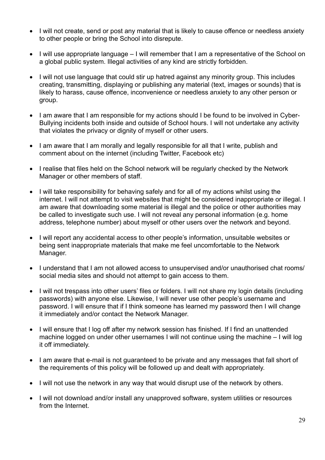- I will not create, send or post any material that is likely to cause offence or needless anxiety to other people or bring the School into disrepute.
- I will use appropriate language I will remember that I am a representative of the School on a global public system. Illegal activities of any kind are strictly forbidden.
- I will not use language that could stir up hatred against any minority group. This includes creating, transmitting, displaying or publishing any material (text, images or sounds) that is likely to harass, cause offence, inconvenience or needless anxiety to any other person or group.
- I am aware that I am responsible for my actions should I be found to be involved in Cyber-Bullying incidents both inside and outside of School hours. I will not undertake any activity that violates the privacy or dignity of myself or other users.
- I am aware that I am morally and legally responsible for all that I write, publish and comment about on the internet (including Twitter, Facebook etc)
- I realise that files held on the School network will be regularly checked by the Network Manager or other members of staff.
- I will take responsibility for behaving safely and for all of my actions whilst using the internet. I will not attempt to visit websites that might be considered inappropriate or illegal. I am aware that downloading some material is illegal and the police or other authorities may be called to investigate such use. I will not reveal any personal information (e.g. home address, telephone number) about myself or other users over the network and beyond.
- I will report any accidental access to other people's information, unsuitable websites or being sent inappropriate materials that make me feel uncomfortable to the Network Manager.
- I understand that I am not allowed access to unsupervised and/or unauthorised chat rooms/ social media sites and should not attempt to gain access to them.
- I will not trespass into other users' files or folders. I will not share my login details (including passwords) with anyone else. Likewise, I will never use other people's username and password. I will ensure that if I think someone has learned my password then I will change it immediately and/or contact the Network Manager.
- I will ensure that I log off after my network session has finished. If I find an unattended machine logged on under other usernames I will not continue using the machine – I will log it off immediately.
- I am aware that e-mail is not guaranteed to be private and any messages that fall short of the requirements of this policy will be followed up and dealt with appropriately.
- I will not use the network in any way that would disrupt use of the network by others.
- I will not download and/or install any unapproved software, system utilities or resources from the Internet.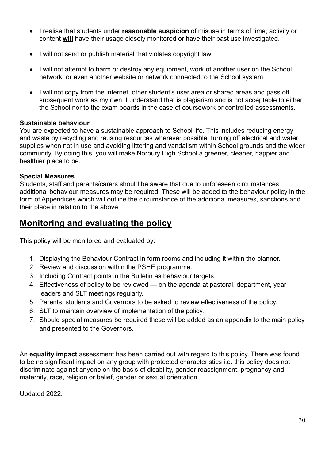- I realise that students under **reasonable suspicion** of misuse in terms of time, activity or content **will** have their usage closely monitored or have their past use investigated.
- I will not send or publish material that violates copyright law.
- I will not attempt to harm or destroy any equipment, work of another user on the School network, or even another website or network connected to the School system.
- I will not copy from the internet, other student's user area or shared areas and pass off subsequent work as my own. I understand that is plagiarism and is not acceptable to either the School nor to the exam boards in the case of coursework or controlled assessments.

#### **Sustainable behaviour**

You are expected to have a sustainable approach to School life. This includes reducing energy and waste by recycling and reusing resources wherever possible, turning off electrical and water supplies when not in use and avoiding littering and vandalism within School grounds and the wider community. By doing this, you will make Norbury High School a greener, cleaner, happier and healthier place to be.

#### **Special Measures**

Students, staff and parents/carers should be aware that due to unforeseen circumstances additional behaviour measures may be required. These will be added to the behaviour policy in the form of Appendices which will outline the circumstance of the additional measures, sanctions and their place in relation to the above.

### **Monitoring and evaluating the policy**

This policy will be monitored and evaluated by:

- 1. Displaying the Behaviour Contract in form rooms and including it within the planner.
- 2. Review and discussion within the PSHE programme.
- 3. Including Contract points in the Bulletin as behaviour targets.
- 4. Effectiveness of policy to be reviewed on the agenda at pastoral, department, year leaders and SLT meetings regularly.
- 5. Parents, students and Governors to be asked to review effectiveness of the policy.
- 6. SLT to maintain overview of implementation of the policy.
- 7. Should special measures be required these will be added as an appendix to the main policy and presented to the Governors.

An **equality impact** assessment has been carried out with regard to this policy. There was found to be no significant impact on any group with protected characteristics i.e. this policy does not discriminate against anyone on the basis of disability, gender reassignment, pregnancy and maternity, race, religion or belief, gender or sexual orientation

Updated 2022.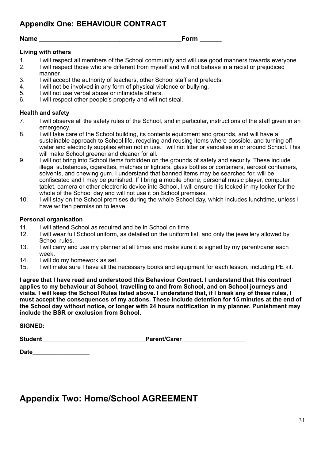**Appendix One: BEHAVIOUR CONTRACT**

**Name \_\_\_\_\_\_\_\_\_\_\_\_\_\_\_\_\_\_\_\_\_\_\_\_\_\_\_\_\_\_\_\_\_\_\_\_\_\_\_Form \_\_\_\_\_\_** 

#### **Living with others**

- 1. I will respect all members of the School community and will use good manners towards everyone.<br>2. I will respect those who are different from myself and will not behave in a racist or prejudiced
- 2. I will respect those who are different from myself and will not behave in a racist or prejudiced manner.
- 3. I will accept the authority of teachers, other School staff and prefects.<br>4. I will not be involved in any form of physical violence or bullying.
- 4. I will not be involved in any form of physical violence or bullying.<br>5. I will not use verbal abuse or intimidate others.
- I will not use verbal abuse or intimidate others.
- 6. I will respect other people's property and will not steal.

#### **Health and safety**

- 7. I will observe all the safety rules of the School, and in particular, instructions of the staff given in an emergency.
- 8. I will take care of the School building, its contents equipment and grounds, and will have a sustainable approach to School life, recycling and reusing items where possible, and turning off water and electricity supplies when not in use. I will not litter or vandalise in or around School. This will make School greener and cleaner for all.
- 9. I will not bring into School items forbidden on the grounds of safety and security. These include illegal substances, cigarettes, matches or lighters, glass bottles or containers, aerosol containers, solvents, and chewing gum. I understand that banned items may be searched for, will be confiscated and I may be punished. If I bring a mobile phone, personal music player, computer tablet, camera or other electronic device into School, I will ensure it is locked in my locker for the whole of the School day and will not use it on School premises.
- 10. I will stay on the School premises during the whole School day, which includes lunchtime, unless I have written permission to leave.

#### **Personal organisation**

- 11. I will attend School as required and be in School on time.
- 12. I will wear full School uniform, as detailed on the uniform list, and only the jewellery allowed by School rules.
- 13. I will carry and use my planner at all times and make sure it is signed by my parent/carer each week.
- 14. I will do my homework as set.
- 15. I will make sure I have all the necessary books and equipment for each lesson, including PE kit.

**I agree that I have read and understood this Behaviour Contract. I understand that this contract applies to my behaviour at School, travelling to and from School, and on School journeys and visits. I will keep the School Rules listed above. I understand that, if I break any of these rules, I must accept the consequences of my actions. These include detention for 15 minutes at the end of the School day without notice, or longer with 24 hours notification in my planner. Punishment may include the BSR or exclusion from School.** 

**SIGNED:** 

**Student\_\_\_\_\_\_\_\_\_\_\_\_\_\_\_\_\_\_\_\_\_\_\_\_\_\_\_\_\_\_\_Parent/Carer\_\_\_\_\_\_\_\_\_\_\_\_\_\_\_\_\_\_\_** 

| <b>Date</b> |  |  |  |  |  |  |  |  |  |
|-------------|--|--|--|--|--|--|--|--|--|
|             |  |  |  |  |  |  |  |  |  |

### **Appendix Two: Home/School AGREEMENT**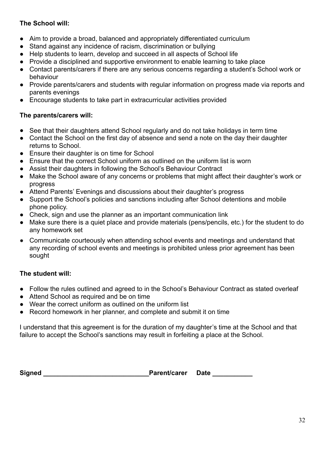#### **The School will:**

- Aim to provide a broad, balanced and appropriately differentiated curriculum
- Stand against any incidence of racism, discrimination or bullying
- Help students to learn, develop and succeed in all aspects of School life
- Provide a disciplined and supportive environment to enable learning to take place
- Contact parents/carers if there are any serious concerns regarding a student's School work or behaviour
- Provide parents/carers and students with regular information on progress made via reports and parents evenings
- Encourage students to take part in extracurricular activities provided

#### **The parents/carers will:**

- See that their daughters attend School regularly and do not take holidays in term time
- Contact the School on the first day of absence and send a note on the day their daughter returns to School.
- Ensure their daughter is on time for School
- Ensure that the correct School uniform as outlined on the uniform list is worn
- Assist their daughters in following the School's Behaviour Contract
- Make the School aware of any concerns or problems that might affect their daughter's work or progress
- Attend Parents' Evenings and discussions about their daughter's progress
- Support the School's policies and sanctions including after School detentions and mobile phone policy.
- Check, sign and use the planner as an important communication link
- Make sure there is a quiet place and provide materials (pens/pencils, etc.) for the student to do any homework set
- Communicate courteously when attending school events and meetings and understand that any recording of school events and meetings is prohibited unless prior agreement has been sought

#### **The student will:**

- Follow the rules outlined and agreed to in the School's Behaviour Contract as stated overleaf
- Attend School as required and be on time
- Wear the correct uniform as outlined on the uniform list
- Record homework in her planner, and complete and submit it on time

I understand that this agreement is for the duration of my daughter's time at the School and that failure to accept the School's sanctions may result in forfeiting a place at the School.

Signed **Signed Signed Signed Careford** *Signed* **<b>Careford Careford Careford Careford Careford Careford Careford Careford Careford Careford Careford Careford Careford Careford C**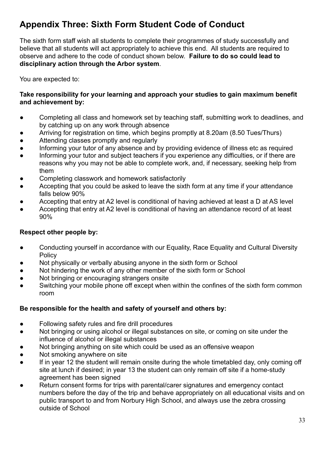### **Appendix Three: Sixth Form Student Code of Conduct**

The sixth form staff wish all students to complete their programmes of study successfully and believe that all students will act appropriately to achieve this end. All students are required to observe and adhere to the code of conduct shown below. **Failure to do so could lead to disciplinary action through the Arbor system**.

You are expected to:

#### **Take responsibility for your learning and approach your studies to gain maximum benefit and achievement by:**

- Completing all class and homework set by teaching staff, submitting work to deadlines, and by catching up on any work through absence
- Arriving for registration on time, which begins promptly at 8.20am (8.50 Tues/Thurs)
- Attending classes promptly and regularly
- Informing your tutor of any absence and by providing evidence of illness etc as required
- Informing your tutor and subject teachers if you experience any difficulties, or if there are reasons why you may not be able to complete work, and, if necessary, seeking help from them
- Completing classwork and homework satisfactorily
- Accepting that you could be asked to leave the sixth form at any time if your attendance falls below 90%
- Accepting that entry at A2 level is conditional of having achieved at least a D at AS level
- Accepting that entry at A2 level is conditional of having an attendance record of at least 90%

#### **Respect other people by:**

- Conducting yourself in accordance with our Equality, Race Equality and Cultural Diversity **Policy**
- Not physically or verbally abusing anyone in the sixth form or School
- Not hindering the work of any other member of the sixth form or School
- Not bringing or encouraging strangers onsite
- Switching your mobile phone off except when within the confines of the sixth form common room

#### **Be responsible for the health and safety of yourself and others by:**

- Following safety rules and fire drill procedures
- Not bringing or using alcohol or illegal substances on site, or coming on site under the influence of alcohol or illegal substances
- Not bringing anything on site which could be used as an offensive weapon
- Not smoking anywhere on site
- If in year 12 the student will remain onsite during the whole timetabled day, only coming off site at lunch if desired; in year 13 the student can only remain off site if a home-study agreement has been signed
- Return consent forms for trips with parental/carer signatures and emergency contact numbers before the day of the trip and behave appropriately on all educational visits and on public transport to and from Norbury High School, and always use the zebra crossing outside of School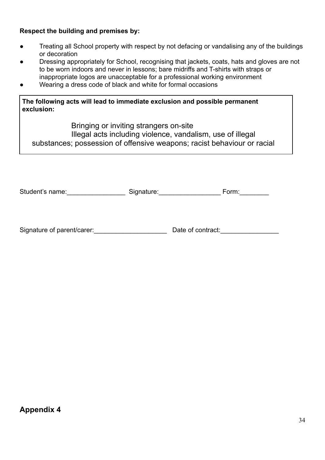#### **Respect the building and premises by:**

- Treating all School property with respect by not defacing or vandalising any of the buildings or decoration
- Dressing appropriately for School, recognising that jackets, coats, hats and gloves are not to be worn indoors and never in lessons; bare midriffs and T-shirts with straps or inappropriate logos are unacceptable for a professional working environment
- Wearing a dress code of black and white for formal occasions

**The following acts will lead to immediate exclusion and possible permanent exclusion:**

Bringing or inviting strangers on-site

Illegal acts including violence, vandalism, use of illegal

substances; possession of offensive weapons; racist behaviour or racial

| Student's name: | Signature: | Form: |
|-----------------|------------|-------|
|-----------------|------------|-------|

Signature of parent/carer: example and parameters of contract: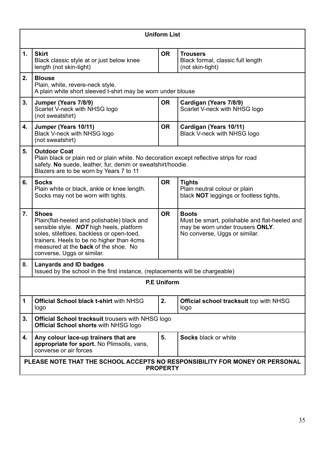|    | <b>Uniform List</b>                                                                                                                                                                                                                                                            |           |                                                                                                                                    |  |  |  |  |  |
|----|--------------------------------------------------------------------------------------------------------------------------------------------------------------------------------------------------------------------------------------------------------------------------------|-----------|------------------------------------------------------------------------------------------------------------------------------------|--|--|--|--|--|
| 1. | <b>Skirt</b><br>Black classic style at or just below knee<br>length (not skin-tight)                                                                                                                                                                                           | <b>OR</b> | <b>Trousers</b><br>Black formal, classic full length<br>(not skin-tight)                                                           |  |  |  |  |  |
| 2. | <b>Blouse</b><br>Plain, white, revere-neck style.<br>A plain white short sleeved t-shirt may be worn under blouse                                                                                                                                                              |           |                                                                                                                                    |  |  |  |  |  |
| 3. | Jumper (Years 7/8/9)<br>Scarlet V-neck with NHSG logo<br>(not sweatshirt)                                                                                                                                                                                                      | <b>OR</b> | Cardigan (Years 7/8/9)<br>Scarlet V-neck with NHSG logo                                                                            |  |  |  |  |  |
| 4. | Jumper (Years 10/11)<br>Black V-neck with NHSG logo<br>(not sweatshirt)                                                                                                                                                                                                        | <b>OR</b> | Cardigan (Years 10/11)<br>Black V-neck with NHSG logo                                                                              |  |  |  |  |  |
| 5. | <b>Outdoor Coat</b><br>Plain black or plain red or plain white. No decoration except reflective strips for road<br>safety. No suede, leather, fur, denim or sweatshirt/hoodie.<br>Blazers are to be worn by Years 7 to 11                                                      |           |                                                                                                                                    |  |  |  |  |  |
| 6. | <b>Socks</b><br>Plain white or black, ankle or knee length.<br>Socks may not be worn with tights.                                                                                                                                                                              | <b>OR</b> | <b>Tights</b><br>Plain neutral colour or plain<br>black NOT leggings or footless tights.                                           |  |  |  |  |  |
| 7. | <b>Shoes</b><br>Plain(flat-heeled and polishable) black and<br>sensible style. NOT high heels, platform<br>soles, stilettoes, backless or open-toed,<br>trainers. Heels to be no higher than 4cms<br>measured at the <b>back</b> of the shoe. No<br>converse, Uggs or similar. | <b>OR</b> | <b>Boots</b><br>Must be smart, polishable and flat-heeled and<br>may be worn under trousers ONLY.<br>No converse, Uggs or similar. |  |  |  |  |  |
| 8. | <b>Lanyards and ID badges</b><br>Issued by the school in the first instance, (replacements will be chargeable)                                                                                                                                                                 |           |                                                                                                                                    |  |  |  |  |  |
|    | <b>P.E Uniform</b>                                                                                                                                                                                                                                                             |           |                                                                                                                                    |  |  |  |  |  |
| 1  | <b>Official School black t-shirt with NHSG</b><br>logo                                                                                                                                                                                                                         | 2.        | <b>Official school tracksuit top with NHSG</b><br>logo                                                                             |  |  |  |  |  |
| 3. | <b>Official School tracksuit trousers with NHSG logo</b><br><b>Official School shorts with NHSG logo</b>                                                                                                                                                                       |           |                                                                                                                                    |  |  |  |  |  |
| 4. | Any colour lace-up trainers that are<br>appropriate for sport. No Plimsolls, vans,<br>converse or air forces                                                                                                                                                                   | 5.        | <b>Socks black or white</b>                                                                                                        |  |  |  |  |  |
|    | PLEASE NOTE THAT THE SCHOOL ACCEPTS NO RESPONSIBILITY FOR MONEY OR PERSONAL<br><b>PROPERTY</b>                                                                                                                                                                                 |           |                                                                                                                                    |  |  |  |  |  |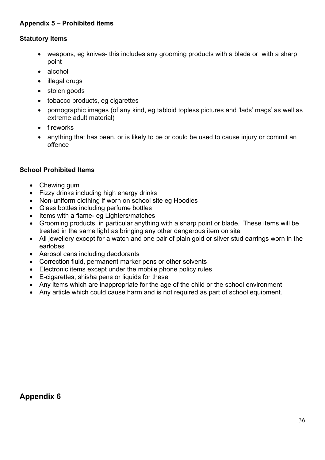#### **Appendix 5 – Prohibited items**

#### **Statutory Items**

- weapons, eg knives-this includes any grooming products with a blade or with a sharp point
- alcohol
- illegal drugs
- stolen goods
- tobacco products, eg cigarettes
- pornographic images (of any kind, eg tabloid topless pictures and 'lads' mags' as well as extreme adult material)
- fireworks
- anything that has been, or is likely to be or could be used to cause injury or commit an offence

#### **School Prohibited Items**

- Chewing gum
- Fizzy drinks including high energy drinks
- Non-uniform clothing if worn on school site eg Hoodies
- Glass bottles including perfume bottles
- Items with a flame- eg Lighters/matches
- Grooming products in particular anything with a sharp point or blade. These items will be treated in the same light as bringing any other dangerous item on site
- All jewellery except for a watch and one pair of plain gold or silver stud earrings worn in the earlobes
- Aerosol cans including deodorants
- Correction fluid, permanent marker pens or other solvents
- Electronic items except under the mobile phone policy rules
- [E-cigarettes, shisha pens or liquids for these](https://www.cheam.sutton.sch.uk/892/banned-items-in-school)
- Any items which are inappropriate for the age of the child or the school environment
- Any article which could cause harm and is not required as part of school equipment.

**Appendix 6**